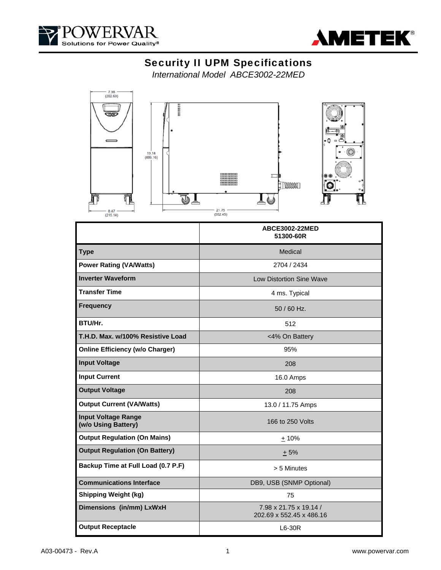



# Security II UPM Specifications

*International Model ABCE3002-22MED* 



|                                                   | ABCE3002-22MED<br>51300-60R                        |
|---------------------------------------------------|----------------------------------------------------|
| <b>Type</b>                                       | Medical                                            |
| <b>Power Rating (VA/Watts)</b>                    | 2704 / 2434                                        |
| <b>Inverter Waveform</b>                          | Low Distortion Sine Wave                           |
| <b>Transfer Time</b>                              | 4 ms. Typical                                      |
| <b>Frequency</b>                                  | $50/60$ Hz.                                        |
| BTU/Hr.                                           | 512                                                |
| T.H.D. Max. w/100% Resistive Load                 | <4% On Battery                                     |
| <b>Online Efficiency (w/o Charger)</b>            | 95%                                                |
| <b>Input Voltage</b>                              | 208                                                |
| <b>Input Current</b>                              | 16.0 Amps                                          |
| <b>Output Voltage</b>                             | 208                                                |
| <b>Output Current (VA/Watts)</b>                  | 13.0 / 11.75 Amps                                  |
| <b>Input Voltage Range</b><br>(w/o Using Battery) | 166 to 250 Volts                                   |
| <b>Output Regulation (On Mains)</b>               | $+10%$                                             |
| <b>Output Regulation (On Battery)</b>             | $+5%$                                              |
| Backup Time at Full Load (0.7 P.F)                | > 5 Minutes                                        |
| <b>Communications Interface</b>                   | DB9, USB (SNMP Optional)                           |
| <b>Shipping Weight (kg)</b>                       | 75                                                 |
| Dimensions (in/mm) LxWxH                          | 7.98 x 21.75 x 19.14 /<br>202.69 x 552.45 x 486.16 |
| <b>Output Receptacle</b>                          | L6-30R                                             |